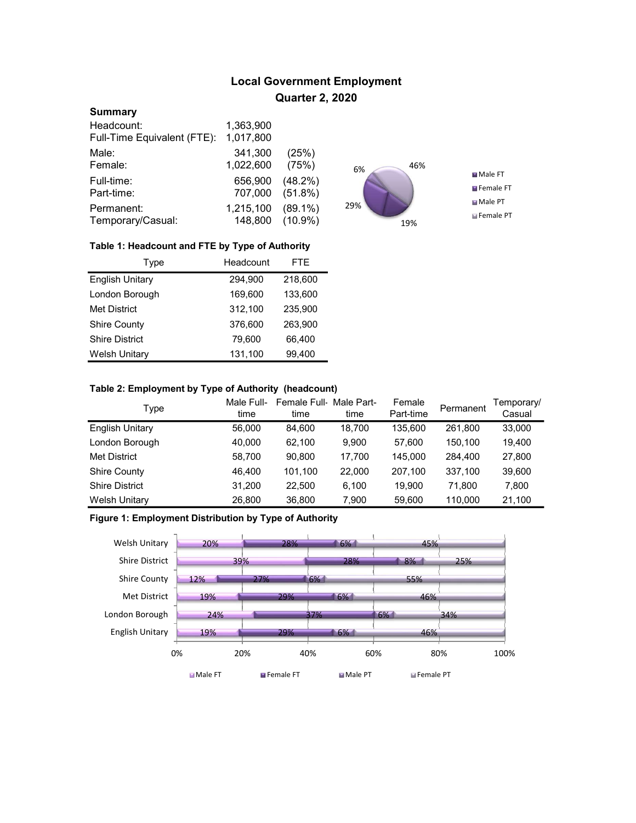# Local Government Employment Quarter 2, 2020

#### **Summary**

| Headcount:                  | 1,363,900 |            |
|-----------------------------|-----------|------------|
| Full-Time Equivalent (FTE): | 1,017,800 |            |
| Male:                       | 341,300   | (25%)      |
| Female:                     | 1,022,600 | (75%)      |
| Full-time:                  | 656,900   | $(48.2\%)$ |
| Part-time:                  | 707,000   | $(51.8\%)$ |
| Permanent:                  | 1,215,100 | $(89.1\%)$ |
| Temporary/Casual:           | 148,800   | $(10.9\%)$ |



### Table 1: Headcount and FTE by Type of Authority

| Type                   | Headcount | <b>FTE</b> |
|------------------------|-----------|------------|
| <b>English Unitary</b> | 294,900   | 218,600    |
| London Borough         | 169,600   | 133,600    |
| <b>Met District</b>    | 312,100   | 235,900    |
| <b>Shire County</b>    | 376,600   | 263,900    |
| <b>Shire District</b>  | 79,600    | 66,400     |
| <b>Welsh Unitary</b>   | 131,100   | 99,400     |

### Table 2: Employment by Type of Authority (headcount)

| Type                   | Male Full-<br>time | Female Full-Male Part-<br>time | time   | Female<br>Part-time | Permanent | Temporary/<br>Casual |
|------------------------|--------------------|--------------------------------|--------|---------------------|-----------|----------------------|
| <b>English Unitary</b> | 56,000             | 84.600                         | 18,700 | 135.600             | 261.800   | 33,000               |
| London Borough         | 40,000             | 62.100                         | 9.900  | 57.600              | 150.100   | 19,400               |
| <b>Met District</b>    | 58,700             | 90.800                         | 17.700 | 145.000             | 284,400   | 27,800               |
| <b>Shire County</b>    | 46.400             | 101.100                        | 22,000 | 207.100             | 337,100   | 39,600               |
| <b>Shire District</b>  | 31,200             | 22.500                         | 6.100  | 19.900              | 71.800    | 7,800                |
| <b>Welsh Unitary</b>   | 26,800             | 36,800                         | 7,900  | 59,600              | 110,000   | 21,100               |

## Figure 1: Employment Distribution by Type of Authority